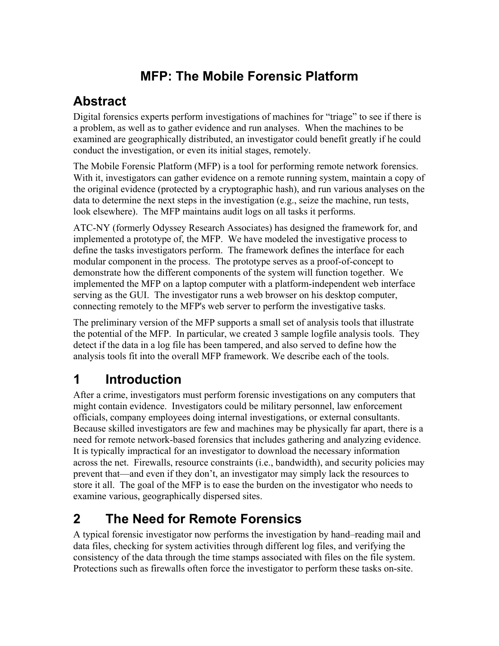## **MFP: The Mobile Forensic Platform**

## **Abstract**

Digital forensics experts perform investigations of machines for "triage" to see if there is a problem, as well as to gather evidence and run analyses. When the machines to be examined are geographically distributed, an investigator could benefit greatly if he could conduct the investigation, or even its initial stages, remotely.

The Mobile Forensic Platform (MFP) is a tool for performing remote network forensics. With it, investigators can gather evidence on a remote running system, maintain a copy of the original evidence (protected by a cryptographic hash), and run various analyses on the data to determine the next steps in the investigation (e.g., seize the machine, run tests, look elsewhere). The MFP maintains audit logs on all tasks it performs.

ATC-NY (formerly Odyssey Research Associates) has designed the framework for, and implemented a prototype of, the MFP. We have modeled the investigative process to define the tasks investigators perform. The framework defines the interface for each modular component in the process. The prototype serves as a proof-of-concept to demonstrate how the different components of the system will function together. We implemented the MFP on a laptop computer with a platform-independent web interface serving as the GUI. The investigator runs a web browser on his desktop computer, connecting remotely to the MFP's web server to perform the investigative tasks.

The preliminary version of the MFP supports a small set of analysis tools that illustrate the potential of the MFP. In particular, we created 3 sample logfile analysis tools. They detect if the data in a log file has been tampered, and also served to define how the analysis tools fit into the overall MFP framework. We describe each of the tools.

## **1 Introduction**

After a crime, investigators must perform forensic investigations on any computers that might contain evidence. Investigators could be military personnel, law enforcement officials, company employees doing internal investigations, or external consultants. Because skilled investigators are few and machines may be physically far apart, there is a need for remote network-based forensics that includes gathering and analyzing evidence. It is typically impractical for an investigator to download the necessary information across the net. Firewalls, resource constraints (i.e., bandwidth), and security policies may prevent that—and even if they don't, an investigator may simply lack the resources to store it all. The goal of the MFP is to ease the burden on the investigator who needs to examine various, geographically dispersed sites.

## **2 The Need for Remote Forensics**

A typical forensic investigator now performs the investigation by hand–reading mail and data files, checking for system activities through different log files, and verifying the consistency of the data through the time stamps associated with files on the file system. Protections such as firewalls often force the investigator to perform these tasks on-site.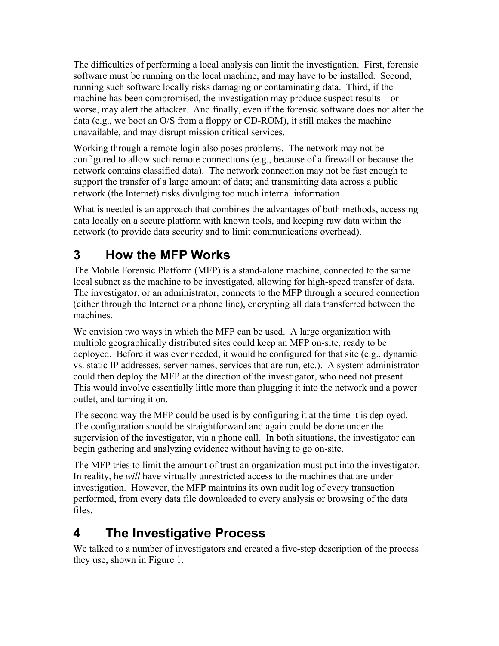The difficulties of performing a local analysis can limit the investigation. First, forensic software must be running on the local machine, and may have to be installed. Second, running such software locally risks damaging or contaminating data. Third, if the machine has been compromised, the investigation may produce suspect results—or worse, may alert the attacker. And finally, even if the forensic software does not alter the data (e.g., we boot an O/S from a floppy or CD-ROM), it still makes the machine unavailable, and may disrupt mission critical services.

Working through a remote login also poses problems. The network may not be configured to allow such remote connections (e.g., because of a firewall or because the network contains classified data). The network connection may not be fast enough to support the transfer of a large amount of data; and transmitting data across a public network (the Internet) risks divulging too much internal information.

What is needed is an approach that combines the advantages of both methods, accessing data locally on a secure platform with known tools, and keeping raw data within the network (to provide data security and to limit communications overhead).

## **3 How the MFP Works**

The Mobile Forensic Platform (MFP) is a stand-alone machine, connected to the same local subnet as the machine to be investigated, allowing for high-speed transfer of data. The investigator, or an administrator, connects to the MFP through a secured connection (either through the Internet or a phone line), encrypting all data transferred between the machines.

We envision two ways in which the MFP can be used. A large organization with multiple geographically distributed sites could keep an MFP on-site, ready to be deployed. Before it was ever needed, it would be configured for that site (e.g., dynamic vs. static IP addresses, server names, services that are run, etc.). A system administrator could then deploy the MFP at the direction of the investigator, who need not present. This would involve essentially little more than plugging it into the network and a power outlet, and turning it on.

The second way the MFP could be used is by configuring it at the time it is deployed. The configuration should be straightforward and again could be done under the supervision of the investigator, via a phone call. In both situations, the investigator can begin gathering and analyzing evidence without having to go on-site.

The MFP tries to limit the amount of trust an organization must put into the investigator. In reality, he *will* have virtually unrestricted access to the machines that are under investigation. However, the MFP maintains its own audit log of every transaction performed, from every data file downloaded to every analysis or browsing of the data files.

## **4 The Investigative Process**

We talked to a number of investigators and created a five-step description of the process they use, shown in [Figure 1.](#page-2-0)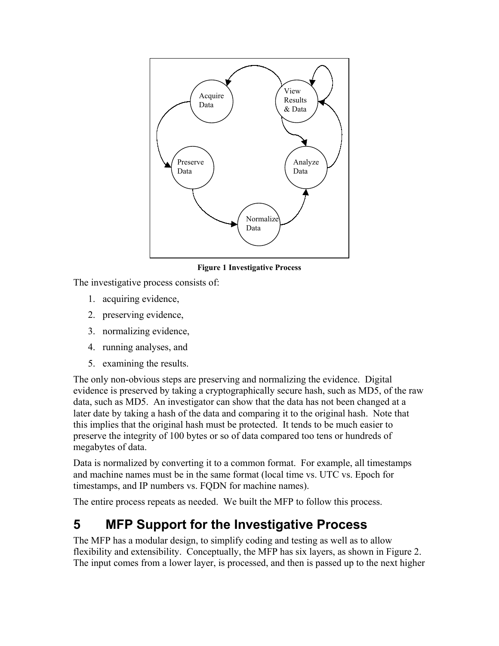

<span id="page-2-0"></span>**Figure 1 Investigative Process** 

The investigative process consists of:

- 1. acquiring evidence,
- 2. preserving evidence,
- 3. normalizing evidence,
- 4. running analyses, and
- 5. examining the results.

The only non-obvious steps are preserving and normalizing the evidence. Digital evidence is preserved by taking a cryptographically secure hash, such as MD5, of the raw data, such as MD5. An investigator can show that the data has not been changed at a later date by taking a hash of the data and comparing it to the original hash. Note that this implies that the original hash must be protected. It tends to be much easier to preserve the integrity of 100 bytes or so of data compared too tens or hundreds of megabytes of data.

Data is normalized by converting it to a common format. For example, all timestamps and machine names must be in the same format (local time vs. UTC vs. Epoch for timestamps, and IP numbers vs. FQDN for machine names).

The entire process repeats as needed. We built the MFP to follow this process.

### **5 MFP Support for the Investigative Process**

The MFP has a modular design, to simplify coding and testing as well as to allow flexibility and extensibility. Conceptually, the MFP has six layers, as shown in [Figure 2.](#page-3-0) The input comes from a lower layer, is processed, and then is passed up to the next higher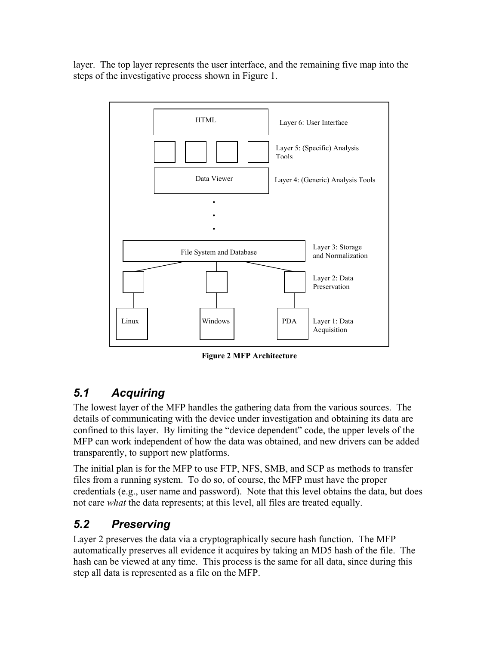layer. The top layer represents the user interface, and the remaining five map into the steps of the investigative process shown in [Figure 1.](#page-2-0)



<span id="page-3-0"></span>**Figure 2 MFP Architecture**

#### *5.1 Acquiring*

The lowest layer of the MFP handles the gathering data from the various sources. The details of communicating with the device under investigation and obtaining its data are confined to this layer. By limiting the "device dependent" code, the upper levels of the MFP can work independent of how the data was obtained, and new drivers can be added transparently, to support new platforms.

The initial plan is for the MFP to use FTP, NFS, SMB, and SCP as methods to transfer files from a running system. To do so, of course, the MFP must have the proper credentials (e.g., user name and password). Note that this level obtains the data, but does not care *what* the data represents; at this level, all files are treated equally.

#### *5.2 Preserving*

Layer 2 preserves the data via a cryptographically secure hash function. The MFP automatically preserves all evidence it acquires by taking an MD5 hash of the file. The hash can be viewed at any time. This process is the same for all data, since during this step all data is represented as a file on the MFP.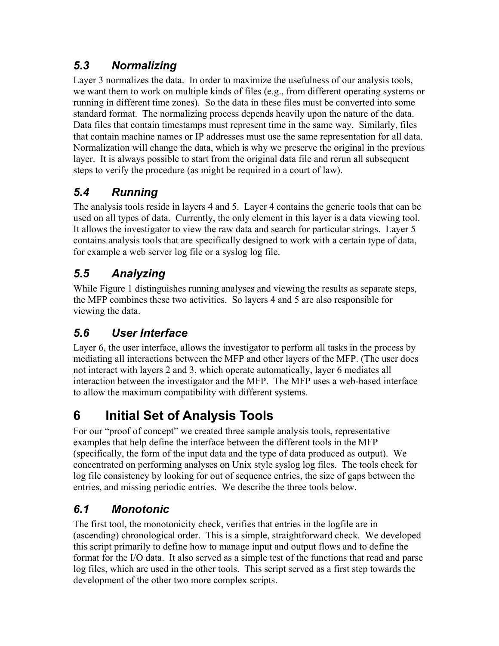#### *5.3 Normalizing*

Layer 3 normalizes the data. In order to maximize the usefulness of our analysis tools, we want them to work on multiple kinds of files (e.g., from different operating systems or running in different time zones). So the data in these files must be converted into some standard format. The normalizing process depends heavily upon the nature of the data. Data files that contain timestamps must represent time in the same way. Similarly, files that contain machine names or IP addresses must use the same representation for all data. Normalization will change the data, which is why we preserve the original in the previous layer. It is always possible to start from the original data file and rerun all subsequent steps to verify the procedure (as might be required in a court of law).

### *5.4 Running*

The analysis tools reside in layers 4 and 5. Layer 4 contains the generic tools that can be used on all types of data. Currently, the only element in this layer is a data viewing tool. It allows the investigator to view the raw data and search for particular strings. Layer 5 contains analysis tools that are specifically designed to work with a certain type of data, for example a web server log file or a syslog log file.

### *5.5 Analyzing*

While [Figure 1](#page-2-0) distinguishes running analyses and viewing the results as separate steps, the MFP combines these two activities. So layers 4 and 5 are also responsible for viewing the data.

### *5.6 User Interface*

Layer 6, the user interface, allows the investigator to perform all tasks in the process by mediating all interactions between the MFP and other layers of the MFP. (The user does not interact with layers 2 and 3, which operate automatically, layer 6 mediates all interaction between the investigator and the MFP. The MFP uses a web-based interface to allow the maximum compatibility with different systems.

# **6 Initial Set of Analysis Tools**

For our "proof of concept" we created three sample analysis tools, representative examples that help define the interface between the different tools in the MFP (specifically, the form of the input data and the type of data produced as output). We concentrated on performing analyses on Unix style syslog log files. The tools check for log file consistency by looking for out of sequence entries, the size of gaps between the entries, and missing periodic entries. We describe the three tools below.

### *6.1 Monotonic*

The first tool, the monotonicity check, verifies that entries in the logfile are in (ascending) chronological order. This is a simple, straightforward check. We developed this script primarily to define how to manage input and output flows and to define the format for the I/O data. It also served as a simple test of the functions that read and parse log files, which are used in the other tools. This script served as a first step towards the development of the other two more complex scripts.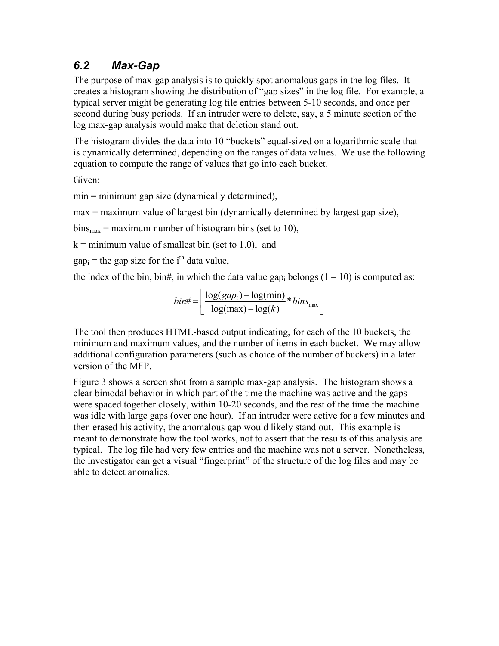#### *6.2 Max-Gap*

The purpose of max-gap analysis is to quickly spot anomalous gaps in the log files. It creates a histogram showing the distribution of "gap sizes" in the log file. For example, a typical server might be generating log file entries between 5-10 seconds, and once per second during busy periods. If an intruder were to delete, say, a 5 minute section of the log max-gap analysis would make that deletion stand out.

The histogram divides the data into 10 "buckets" equal-sized on a logarithmic scale that is dynamically determined, depending on the ranges of data values. We use the following equation to compute the range of values that go into each bucket.

Given:

min = minimum gap size (dynamically determined),

max = maximum value of largest bin (dynamically determined by largest gap size),

 $bins_{max}$  = maximum number of histogram bins (set to 10),

 $k =$  minimum value of smallest bin (set to 1.0), and

 $gap<sub>i</sub>$  = the gap size for the i<sup>th</sup> data value,

the index of the bin, bin#, in which the data value gap<sub>i</sub> belongs  $(1 - 10)$  is computed as:

$$
bin# = \left\lfloor \frac{\log(gap_i) - \log(\min)}{\log(\max) - \log(k)} * bins_{\max} \right\rfloor
$$

The tool then produces HTML-based output indicating, for each of the 10 buckets, the minimum and maximum values, and the number of items in each bucket. We may allow additional configuration parameters (such as choice of the number of buckets) in a later version of the MFP.

[Figure 3](#page-6-0) shows a screen shot from a sample max-gap analysis. The histogram shows a clear bimodal behavior in which part of the time the machine was active and the gaps were spaced together closely, within 10-20 seconds, and the rest of the time the machine was idle with large gaps (over one hour). If an intruder were active for a few minutes and then erased his activity, the anomalous gap would likely stand out. This example is meant to demonstrate how the tool works, not to assert that the results of this analysis are typical. The log file had very few entries and the machine was not a server. Nonetheless, the investigator can get a visual "fingerprint" of the structure of the log files and may be able to detect anomalies.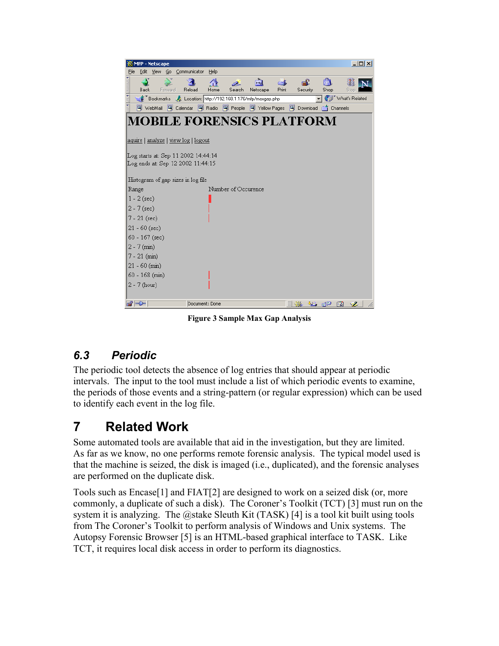<span id="page-6-0"></span>

| $\Box$<br><b>MFP</b> - Netscape                                          |                                    |                 |         |                                                                 |                |                     |                  |              |                |            |                   |                      |
|--------------------------------------------------------------------------|------------------------------------|-----------------|---------|-----------------------------------------------------------------|----------------|---------------------|------------------|--------------|----------------|------------|-------------------|----------------------|
| File                                                                     | Edit                               | <b>View</b>     |         | Go Communicator                                                 | Help           |                     |                  |              |                |            |                   |                      |
|                                                                          | Back                               |                 | Forward | Reload                                                          | Home           | Search              | लैंग<br>Netscape | —X.<br>Print | கி<br>Security | ங்<br>Shop |                   | Stor                 |
| 西班牙                                                                      |                                    |                 |         | Bookmarks & Location: http://192.168.1.176/mfp/maxgap.php       |                |                     |                  |              |                |            |                   | (iii) What's Related |
| ă                                                                        |                                    |                 |         | 网 WebMail 网 Calendar 网 Radio 网 People 网 Yellow Pages 网 Download |                |                     |                  |              |                |            | <b>T</b> Channels |                      |
| <b>MOBILE FORENSICS PLATFORM</b><br>aquire   analyze   view log   logout |                                    |                 |         |                                                                 |                |                     |                  |              |                |            |                   |                      |
| Log starts at: Sep 11 2002 14:44:14<br>Log ends at: Sep 12 2002 11:44:15 |                                    |                 |         |                                                                 |                |                     |                  |              |                |            |                   |                      |
|                                                                          | Histogram of gap sizes in log file |                 |         |                                                                 |                |                     |                  |              |                |            |                   |                      |
| Range                                                                    |                                    |                 |         |                                                                 |                | Number of Occurence |                  |              |                |            |                   |                      |
|                                                                          | $1 - 2$ (sec)                      |                 |         |                                                                 |                |                     |                  |              |                |            |                   |                      |
|                                                                          | $2 - 7$ (sec)                      |                 |         |                                                                 |                |                     |                  |              |                |            |                   |                      |
|                                                                          | 7 - 21 (sec)                       |                 |         |                                                                 |                |                     |                  |              |                |            |                   |                      |
|                                                                          |                                    | $21 - 60$ (sec) |         |                                                                 |                |                     |                  |              |                |            |                   |                      |
|                                                                          |                                    | 60 - 167 (sec)  |         |                                                                 |                |                     |                  |              |                |            |                   |                      |
|                                                                          | $2 - 7$ (min)                      |                 |         |                                                                 |                |                     |                  |              |                |            |                   |                      |
|                                                                          | $7 - 21$ (min)                     |                 |         |                                                                 |                |                     |                  |              |                |            |                   |                      |
|                                                                          |                                    | $21 - 60$ (min) |         |                                                                 |                |                     |                  |              |                |            |                   |                      |
|                                                                          |                                    | 60 - 168 (min)  |         |                                                                 |                |                     |                  |              |                |            |                   |                      |
|                                                                          | $2 - 7$ (hour)                     |                 |         |                                                                 |                |                     |                  |              |                |            |                   |                      |
| $\mathbf{d} = \mathbf{0}$                                                |                                    |                 |         |                                                                 | Document: Done |                     |                  |              | -32            | JB 6P      | 國                 | S.                   |

**Figure 3 Sample Max Gap Analysis**

#### *6.3 Periodic*

The periodic tool detects the absence of log entries that should appear at periodic intervals. The input to the tool must include a list of which periodic events to examine, the periods of those events and a string-pattern (or regular expression) which can be used to identify each event in the log file.

## **7 Related Work**

Some automated tools are available that aid in the investigation, but they are limited. As far as we know, no one performs remote forensic analysis. The typical model used is that the machine is seized, the disk is imaged (i.e., duplicated), and the forensic analyses are performed on the duplicate disk.

Tools such as Encase[1] and FIAT[2] are designed to work on a seized disk (or, more commonly, a duplicate of such a disk). The Coroner's Toolkit (TCT) [3] must run on the system it is analyzing. The @stake Sleuth Kit (TASK) [4] is a tool kit built using tools from The Coroner's Toolkit to perform analysis of Windows and Unix systems. The Autopsy Forensic Browser [5] is an HTML-based graphical interface to TASK. Like TCT, it requires local disk access in order to perform its diagnostics.